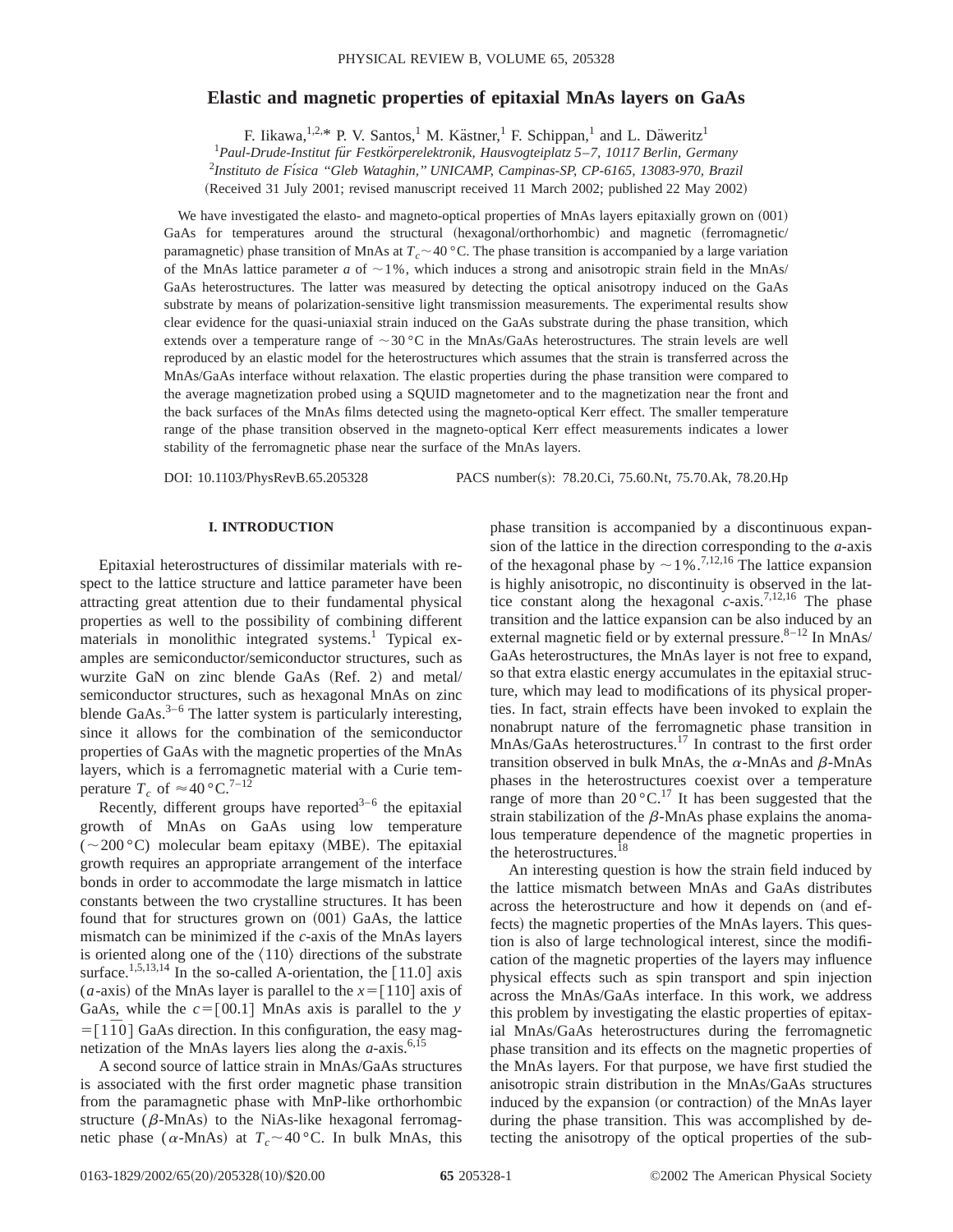# **Elastic and magnetic properties of epitaxial MnAs layers on GaAs**

F. Iikawa,<sup>1,2,\*</sup> P. V. Santos,<sup>1</sup> M. Kästner,<sup>1</sup> F. Schippan,<sup>1</sup> and L. Däweritz<sup>1</sup>

1 *Paul-Drude-Institut fu¨r Festko¨rperelektronik, Hausvogteiplatz 5*–*7, 10117 Berlin, Germany* 2 *Instituto de Fı´sica ''Gleb Wataghin,'' UNICAMP, Campinas-SP, CP-6165, 13083-970, Brazil*

(Received 31 July 2001; revised manuscript received 11 March 2002; published 22 May 2002)

We have investigated the elasto- and magneto-optical properties of MnAs layers epitaxially grown on  $(001)$ GaAs for temperatures around the structural (hexagonal/orthorhombic) and magnetic (ferromagnetic/ paramagnetic) phase transition of MnAs at  $T_c \sim 40$  °C. The phase transition is accompanied by a large variation of the MnAs lattice parameter *a* of  $\sim$ 1%, which induces a strong and anisotropic strain field in the MnAs/ GaAs heterostructures. The latter was measured by detecting the optical anisotropy induced on the GaAs substrate by means of polarization-sensitive light transmission measurements. The experimental results show clear evidence for the quasi-uniaxial strain induced on the GaAs substrate during the phase transition, which extends over a temperature range of  $\sim$ 30 °C in the MnAs/GaAs heterostructures. The strain levels are well reproduced by an elastic model for the heterostructures which assumes that the strain is transferred across the MnAs/GaAs interface without relaxation. The elastic properties during the phase transition were compared to the average magnetization probed using a SQUID magnetometer and to the magnetization near the front and the back surfaces of the MnAs films detected using the magneto-optical Kerr effect. The smaller temperature range of the phase transition observed in the magneto-optical Kerr effect measurements indicates a lower stability of the ferromagnetic phase near the surface of the MnAs layers.

DOI: 10.1103/PhysRevB.65.205328 PACS number(s): 78.20.Ci, 75.60.Nt, 75.70.Ak, 78.20.Hp

# **I. INTRODUCTION**

Epitaxial heterostructures of dissimilar materials with respect to the lattice structure and lattice parameter have been attracting great attention due to their fundamental physical properties as well to the possibility of combining different materials in monolithic integrated systems.<sup>1</sup> Typical examples are semiconductor/semiconductor structures, such as wurzite GaN on zinc blende GaAs (Ref. 2) and metal/ semiconductor structures, such as hexagonal MnAs on zinc blende GaAs. $3-6$  The latter system is particularly interesting, since it allows for the combination of the semiconductor properties of GaAs with the magnetic properties of the MnAs layers, which is a ferromagnetic material with a Curie temperature  $T_c$  of  $\approx 40 \degree \text{C}^{7-12}$ 

Recently, different groups have reported $3-6$  the epitaxial growth of MnAs on GaAs using low temperature  $({\sim}200 \degree C)$  molecular beam epitaxy (MBE). The epitaxial growth requires an appropriate arrangement of the interface bonds in order to accommodate the large mismatch in lattice constants between the two crystalline structures. It has been found that for structures grown on  $(001)$  GaAs, the lattice mismatch can be minimized if the *c*-axis of the MnAs layers is oriented along one of the  $\langle 110 \rangle$  directions of the substrate surface.<sup>1,5,13,14</sup> In the so-called A-orientation, the [11.0] axis (*a*-axis) of the MnAs layer is parallel to the  $x=[110]$  axis of GaAs, while the  $c = [00.1]$  MnAs axis is parallel to the *y*  $=$ [1<sup> $\bar{1}$ 0] GaAs direction. In this configuration, the easy mag-</sup> netization of the MnAs layers lies along the  $a$ -axis.<sup>6,15</sup>

A second source of lattice strain in MnAs/GaAs structures is associated with the first order magnetic phase transition from the paramagnetic phase with MnP-like orthorhombic structure ( $\beta$ -MnAs) to the NiAs-like hexagonal ferromagnetic phase ( $\alpha$ -MnAs) at  $T_c \sim 40^{\circ}$ C. In bulk MnAs, this phase transition is accompanied by a discontinuous expansion of the lattice in the direction corresponding to the *a*-axis of the hexagonal phase by  $\sim$  1%.<sup>7,12,16</sup> The lattice expansion is highly anisotropic, no discontinuity is observed in the lattice constant along the hexagonal  $c$ -axis.<sup>7,12,16</sup> The phase transition and the lattice expansion can be also induced by an external magnetic field or by external pressure.  $8-12$  In MnAs/ GaAs heterostructures, the MnAs layer is not free to expand, so that extra elastic energy accumulates in the epitaxial structure, which may lead to modifications of its physical properties. In fact, strain effects have been invoked to explain the nonabrupt nature of the ferromagnetic phase transition in MnAs/GaAs heterostructures.17 In contrast to the first order transition observed in bulk MnAs, the  $\alpha$ -MnAs and  $\beta$ -MnAs phases in the heterostructures coexist over a temperature range of more than  $20^{\circ}$ C.<sup>17</sup> It has been suggested that the strain stabilization of the  $\beta$ -MnAs phase explains the anomalous temperature dependence of the magnetic properties in the heterostructures.<sup>1</sup>

An interesting question is how the strain field induced by the lattice mismatch between MnAs and GaAs distributes across the heterostructure and how it depends on (and effects) the magnetic properties of the MnAs layers. This question is also of large technological interest, since the modification of the magnetic properties of the layers may influence physical effects such as spin transport and spin injection across the MnAs/GaAs interface. In this work, we address this problem by investigating the elastic properties of epitaxial MnAs/GaAs heterostructures during the ferromagnetic phase transition and its effects on the magnetic properties of the MnAs layers. For that purpose, we have first studied the anisotropic strain distribution in the MnAs/GaAs structures induced by the expansion (or contraction) of the MnAs layer during the phase transition. This was accomplished by detecting the anisotropy of the optical properties of the sub-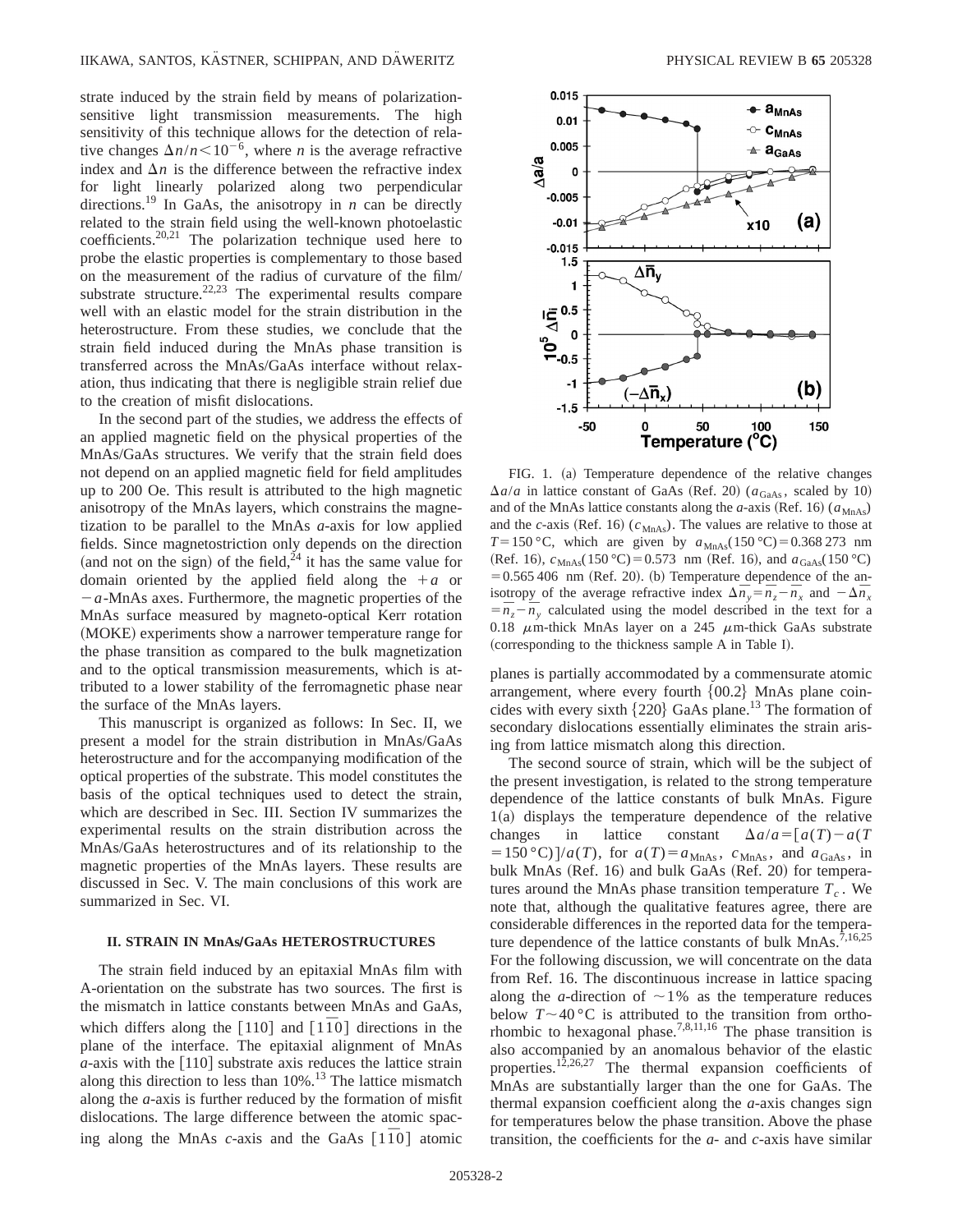strate induced by the strain field by means of polarizationsensitive light transmission measurements. The high sensitivity of this technique allows for the detection of relative changes  $\Delta n/n < 10^{-6}$ , where *n* is the average refractive index and  $\Delta n$  is the difference between the refractive index for light linearly polarized along two perpendicular directions.<sup>19</sup> In GaAs, the anisotropy in *n* can be directly related to the strain field using the well-known photoelastic coefficients.20,21 The polarization technique used here to probe the elastic properties is complementary to those based on the measurement of the radius of curvature of the film/ substrate structure.<sup>22,23</sup> The experimental results compare well with an elastic model for the strain distribution in the heterostructure. From these studies, we conclude that the strain field induced during the MnAs phase transition is transferred across the MnAs/GaAs interface without relaxation, thus indicating that there is negligible strain relief due to the creation of misfit dislocations.

In the second part of the studies, we address the effects of an applied magnetic field on the physical properties of the MnAs/GaAs structures. We verify that the strain field does not depend on an applied magnetic field for field amplitudes up to 200 Oe. This result is attributed to the high magnetic anisotropy of the MnAs layers, which constrains the magnetization to be parallel to the MnAs *a*-axis for low applied fields. Since magnetostriction only depends on the direction (and not on the sign) of the field,<sup>24</sup> it has the same value for domain oriented by the applied field along the  $+a$  or  $-a$ -MnAs axes. Furthermore, the magnetic properties of the MnAs surface measured by magneto-optical Kerr rotation (MOKE) experiments show a narrower temperature range for the phase transition as compared to the bulk magnetization and to the optical transmission measurements, which is attributed to a lower stability of the ferromagnetic phase near the surface of the MnAs layers.

This manuscript is organized as follows: In Sec. II, we present a model for the strain distribution in MnAs/GaAs heterostructure and for the accompanying modification of the optical properties of the substrate. This model constitutes the basis of the optical techniques used to detect the strain, which are described in Sec. III. Section IV summarizes the experimental results on the strain distribution across the MnAs/GaAs heterostructures and of its relationship to the magnetic properties of the MnAs layers. These results are discussed in Sec. V. The main conclusions of this work are summarized in Sec. VI.

### **II. STRAIN IN MnAsÕGaAs HETEROSTRUCTURES**

The strain field induced by an epitaxial MnAs film with A-orientation on the substrate has two sources. The first is the mismatch in lattice constants between MnAs and GaAs, which differs along the  $\lceil 110 \rceil$  and  $\lceil 1\bar{1}0 \rceil$  directions in the plane of the interface. The epitaxial alignment of MnAs  $a$ -axis with the  $[110]$  substrate axis reduces the lattice strain along this direction to less than  $10\%$ .<sup>13</sup> The lattice mismatch along the *a*-axis is further reduced by the formation of misfit dislocations. The large difference between the atomic spacing along the MnAs  $c$ -axis and the GaAs  $\lceil 1\bar{1}0 \rceil$  atomic



FIG. 1. (a) Temperature dependence of the relative changes  $\Delta a/a$  in lattice constant of GaAs (Ref. 20) ( $a_{\text{GaAs}}$ , scaled by 10) and of the MnAs lattice constants along the *a*-axis (Ref. 16) ( $a_{MnAs}$ ) and the *c*-axis (Ref. 16) ( $c_{MnAs}$ ). The values are relative to those at *T*=150 °C, which are given by  $a_{MnAs}(150 \text{ °C})=0.368\ 273 \text{ nm}$ (Ref. 16),  $c_{MnAs}(150 °C) = 0.573$  nm (Ref. 16), and  $a_{GaAs}(150 °C)$  $=0.565 406$  nm (Ref. 20). (b) Temperature dependence of the anisotropy of the average refractive index  $\Delta \bar{n}_y = \bar{n}_z - \bar{n}_x$  and  $-\Delta \bar{n}_x$  $= \overline{n}_z - \overline{n}_y$  calculated using the model described in the text for a 0.18  $\mu$ m-thick MnAs layer on a 245  $\mu$ m-thick GaAs substrate  $(corresponding to the thickness sample A in Table I).$ 

planes is partially accommodated by a commensurate atomic arrangement, where every fourth  ${00.2}$  MnAs plane coincides with every sixth  ${220}$  GaAs plane.<sup>13</sup> The formation of secondary dislocations essentially eliminates the strain arising from lattice mismatch along this direction.

The second source of strain, which will be the subject of the present investigation, is related to the strong temperature dependence of the lattice constants of bulk MnAs. Figure  $1(a)$  displays the temperature dependence of the relative changes in lattice constant  $\Delta a/a = [a(T) - a(T)]$  $=150 \degree C$ )  $\frac{1}{a}$  (*T*), for  $a(T) = a_{MnAs}$ ,  $c_{MnAs}$ , and  $a_{GaAs}$ , in bulk MnAs (Ref. 16) and bulk GaAs (Ref. 20) for temperatures around the MnAs phase transition temperature  $T_c$ . We note that, although the qualitative features agree, there are considerable differences in the reported data for the temperature dependence of the lattice constants of bulk  $MnAs.$ <sup>7,16,25</sup> For the following discussion, we will concentrate on the data from Ref. 16. The discontinuous increase in lattice spacing along the *a*-direction of  $\sim$ 1% as the temperature reduces below  $T \sim 40 \degree C$  is attributed to the transition from orthorhombic to hexagonal phase.<sup>7,8,11,16</sup> The phase transition is also accompanied by an anomalous behavior of the elastic properties.<sup>12,26,27</sup> The thermal expansion coefficients of MnAs are substantially larger than the one for GaAs. The thermal expansion coefficient along the *a*-axis changes sign for temperatures below the phase transition. Above the phase transition, the coefficients for the *a*- and *c*-axis have similar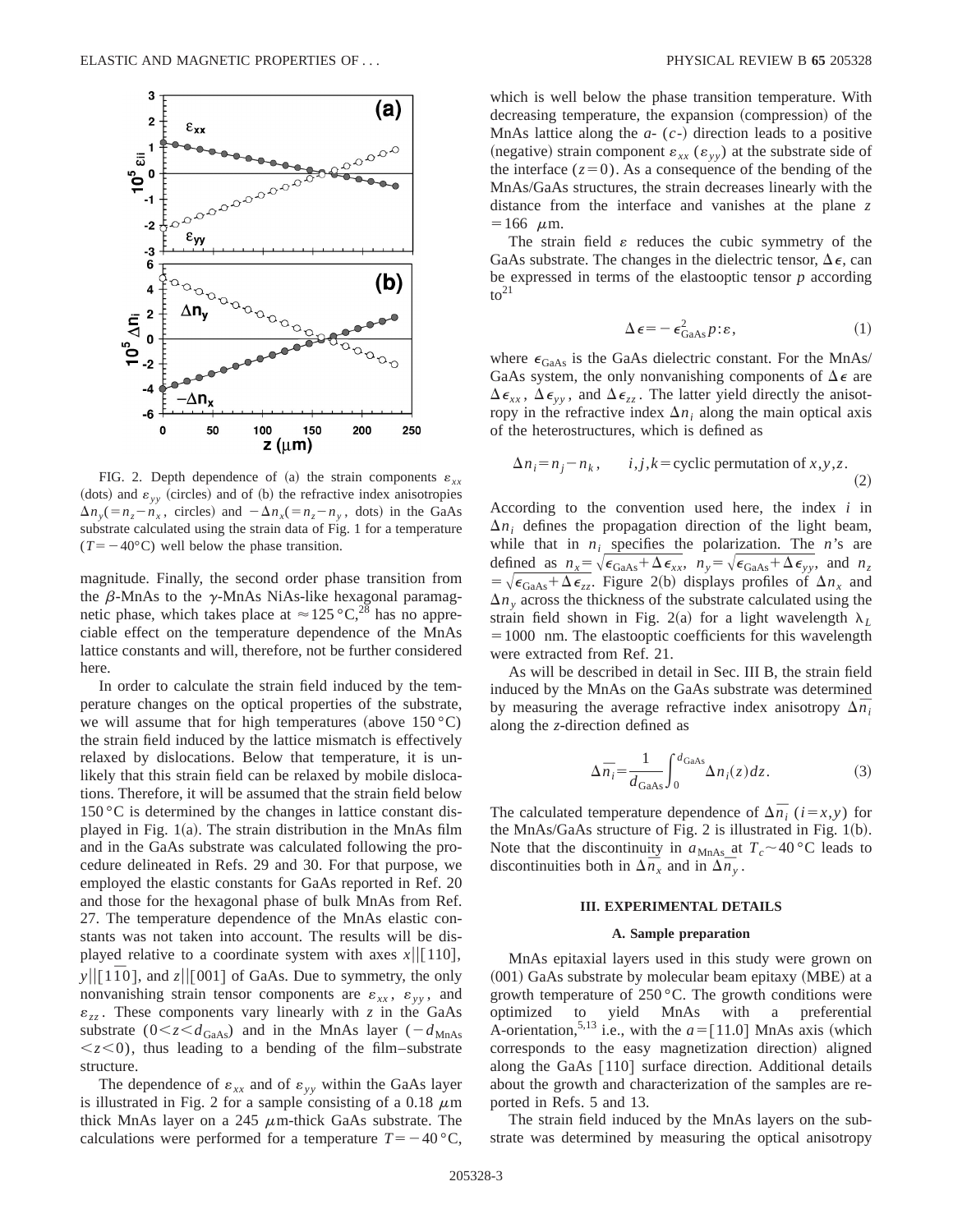

FIG. 2. Depth dependence of (a) the strain components  $\varepsilon_{xx}$ (dots) and  $\varepsilon_{yy}$  (circles) and of (b) the refractive index anisotropies  $\Delta n_v(=n_z-n_x)$ , circles) and  $-\Delta n_x(=n_z-n_y)$ , dots) in the GaAs substrate calculated using the strain data of Fig. 1 for a temperature  $(T=-40^{\circ}C)$  well below the phase transition.

magnitude. Finally, the second order phase transition from the  $\beta$ -MnAs to the  $\gamma$ -MnAs NiAs-like hexagonal paramagnetic phase, which takes place at  $\approx 125 \degree C^{28}$  has no appreciable effect on the temperature dependence of the MnAs lattice constants and will, therefore, not be further considered here.

In order to calculate the strain field induced by the temperature changes on the optical properties of the substrate, we will assume that for high temperatures (above  $150 \degree C$ ) the strain field induced by the lattice mismatch is effectively relaxed by dislocations. Below that temperature, it is unlikely that this strain field can be relaxed by mobile dislocations. Therefore, it will be assumed that the strain field below  $150\,^{\circ}\text{C}$  is determined by the changes in lattice constant displayed in Fig.  $1(a)$ . The strain distribution in the MnAs film and in the GaAs substrate was calculated following the procedure delineated in Refs. 29 and 30. For that purpose, we employed the elastic constants for GaAs reported in Ref. 20 and those for the hexagonal phase of bulk MnAs from Ref. 27. The temperature dependence of the MnAs elastic constants was not taken into account. The results will be displayed relative to a coordinate system with axes  $x \sim ||[110]$ ,  $y||[1\overline{1}0]$ , and  $z||[001]$  of GaAs. Due to symmetry, the only nonvanishing strain tensor components are  $\varepsilon_{xx}$ ,  $\varepsilon_{yy}$ , and  $\varepsilon_{zz}$ . These components vary linearly with *z* in the GaAs substrate  $(0 \lt z \lt d_{\text{GaAs}})$  and in the MnAs layer  $(-d_{\text{MnAs}})$  $\langle z \rangle$ , thus leading to a bending of the film–substrate structure.

The dependence of  $\varepsilon_{xx}$  and of  $\varepsilon_{yy}$  within the GaAs layer is illustrated in Fig. 2 for a sample consisting of a 0.18  $\mu$ m thick MnAs layer on a 245  $\mu$ m-thick GaAs substrate. The calculations were performed for a temperature  $T = -40$  °C, which is well below the phase transition temperature. With decreasing temperature, the expansion (compression) of the MnAs lattice along the  $a - (c -)$  direction leads to a positive (negative) strain component  $\varepsilon_{xx}$  ( $\varepsilon_{yy}$ ) at the substrate side of the interface  $(z=0)$ . As a consequence of the bending of the MnAs/GaAs structures, the strain decreases linearly with the distance from the interface and vanishes at the plane *z*  $=166 \mu m$ .

The strain field  $\varepsilon$  reduces the cubic symmetry of the GaAs substrate. The changes in the dielectric tensor,  $\Delta \epsilon$ , can be expressed in terms of the elastooptic tensor *p* according  $to^{21}$ 

$$
\Delta \epsilon = -\epsilon_{\text{GaAs}}^2 p \,:\! \epsilon \,, \tag{1}
$$

where  $\epsilon_{\text{GaAs}}$  is the GaAs dielectric constant. For the MnAs/ GaAs system, the only nonvanishing components of  $\Delta \epsilon$  are  $\Delta \epsilon_{xx}$ ,  $\Delta \epsilon_{yy}$ , and  $\Delta \epsilon_{zz}$ . The latter yield directly the anisotropy in the refractive index  $\Delta n_i$  along the main optical axis of the heterostructures, which is defined as

$$
\Delta n_i = n_j - n_k, \qquad i, j, k = \text{cyclic permutation of } x, y, z. \tag{2}
$$

According to the convention used here, the index *i* in  $\Delta n_i$  defines the propagation direction of the light beam, while that in  $n_i$  specifies the polarization. The *n*'s are defined as  $n_x = \sqrt{\epsilon_{\text{GaAs}} + \Delta \epsilon_{xx}}, n_y = \sqrt{\epsilon_{\text{GaAs}} + \Delta \epsilon_{yy}},$  and  $n_z$  $= \sqrt{\epsilon_{\text{GaAs}} + \Delta \epsilon_{zz}}$ . Figure 2(b) displays profiles of  $\Delta n_x$  and  $\Delta n_y$  across the thickness of the substrate calculated using the strain field shown in Fig. 2(a) for a light wavelength  $\lambda_L$  $=1000$  nm. The elastooptic coefficients for this wavelength were extracted from Ref. 21.

As will be described in detail in Sec. III B, the strain field induced by the MnAs on the GaAs substrate was determined by measuring the average refractive index anisotropy  $\Delta \overline{n}_i$ along the *z*-direction defined as

$$
\Delta \overline{n}_i = \frac{1}{d_{\text{GaAs}}} \int_0^{d_{\text{GaAs}}} \Delta n_i(z) dz.
$$
 (3)

The calculated temperature dependence of  $\Delta \overline{n}_i$  (*i*=*x*,*y*) for the MnAs/GaAs structure of Fig.  $2$  is illustrated in Fig. 1(b). Note that the discontinuity in  $a_{MnAs}$  at  $T_c \sim 40 \degree C$  leads to discontinuities both in  $\Delta \bar{n}_x$  and in  $\Delta \bar{n}_y$ .

# **III. EXPERIMENTAL DETAILS**

### **A. Sample preparation**

MnAs epitaxial layers used in this study were grown on  $(001)$  GaAs substrate by molecular beam epitaxy  $(MBE)$  at a growth temperature of  $250^{\circ}$ C. The growth conditions were optimized to yield MnAs with a preferential A-orientation,<sup>5,13</sup> i.e., with the  $a=[11.0]$  MnAs axis (which corresponds to the easy magnetization direction) aligned along the GaAs  $\lceil 110 \rceil$  surface direction. Additional details about the growth and characterization of the samples are reported in Refs. 5 and 13.

The strain field induced by the MnAs layers on the substrate was determined by measuring the optical anisotropy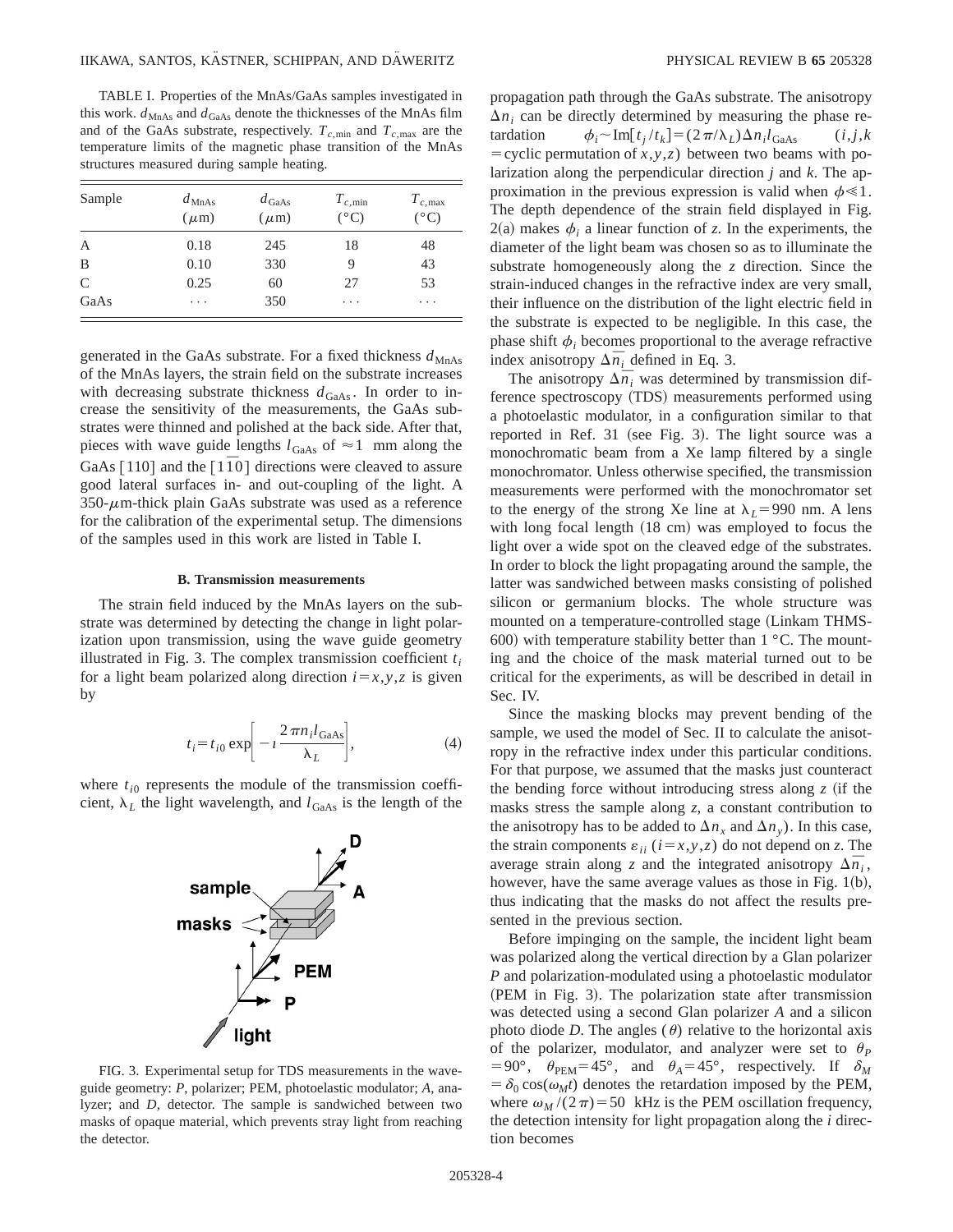TABLE I. Properties of the MnAs/GaAs samples investigated in this work.  $d_{MnAs}$  and  $d_{GaAs}$  denote the thicknesses of the MnAs film and of the GaAs substrate, respectively.  $T_{c,\text{min}}$  and  $T_{c,\text{max}}$  are the temperature limits of the magnetic phase transition of the MnAs structures measured during sample heating.

| Sample        | $d_{\text{MnAs}}$<br>$(\mu m)$ | $d_{\text{GaAs}}$<br>$(\mu m)$ | $T_{c,\min}$<br>$(^{\circ}C)$ | $T_{c,\text{max}}$<br>$(^\circ C)$ |
|---------------|--------------------------------|--------------------------------|-------------------------------|------------------------------------|
| A             | 0.18                           | 245                            | 18                            | 48                                 |
| B             | 0.10                           | 330                            | 9                             | 43                                 |
| $\mathcal{C}$ | 0.25                           | 60                             | 27                            | 53                                 |
| GaAs          | .                              | 350                            | .                             | .                                  |

generated in the GaAs substrate. For a fixed thickness  $d_{MnAs}$ of the MnAs layers, the strain field on the substrate increases with decreasing substrate thickness  $d_{\text{GaAs}}$ . In order to increase the sensitivity of the measurements, the GaAs substrates were thinned and polished at the back side. After that, pieces with wave guide lengths  $l_{GaAs}$  of  $\approx$  1 mm along the GaAs  $\lceil 110 \rceil$  and the  $\lceil 1\overline{1}0 \rceil$  directions were cleaved to assure good lateral surfaces in- and out-coupling of the light. A  $350-\mu$ m-thick plain GaAs substrate was used as a reference for the calibration of the experimental setup. The dimensions of the samples used in this work are listed in Table I.

# **B. Transmission measurements**

The strain field induced by the MnAs layers on the substrate was determined by detecting the change in light polarization upon transmission, using the wave guide geometry illustrated in Fig. 3. The complex transmission coefficient  $t_i$ for a light beam polarized along direction  $i=x, y, z$  is given by

$$
t_i = t_{i0} \exp\left[-i\frac{2\pi n_i l_{\text{GaAs}}}{\lambda_L}\right],\tag{4}
$$

where  $t_{i0}$  represents the module of the transmission coefficient,  $\lambda_L$  the light wavelength, and  $l_{\text{GaAs}}$  is the length of the



FIG. 3. Experimental setup for TDS measurements in the waveguide geometry: *P*, polarizer; PEM, photoelastic modulator; *A*, analyzer; and *D*, detector. The sample is sandwiched between two masks of opaque material, which prevents stray light from reaching the detector.

propagation path through the GaAs substrate. The anisotropy  $\Delta n_i$  can be directly determined by measuring the phase retardation  $\phi_i \sim \text{Im}[t_j / t_k] = (2 \pi / \lambda_L) \Delta n_i l_{\text{GaAs}}$  (*i*, *j*,*k* = cyclic permutation of  $x, y, z$ ) between two beams with polarization along the perpendicular direction *j* and *k*. The approximation in the previous expression is valid when  $\phi \ll 1$ . The depth dependence of the strain field displayed in Fig.  $2(a)$  makes  $\phi_i$  a linear function of *z*. In the experiments, the diameter of the light beam was chosen so as to illuminate the substrate homogeneously along the *z* direction. Since the strain-induced changes in the refractive index are very small, their influence on the distribution of the light electric field in the substrate is expected to be negligible. In this case, the phase shift  $\phi_i$  becomes proportional to the average refractive index anisotropy  $\Delta \bar{n}_i$  defined in Eq. 3.

The anisotropy  $\Delta \bar{n}_i$  was determined by transmission difference spectroscopy (TDS) measurements performed using a photoelastic modulator, in a configuration similar to that reported in Ref. 31 (see Fig. 3). The light source was a monochromatic beam from a Xe lamp filtered by a single monochromator. Unless otherwise specified, the transmission measurements were performed with the monochromator set to the energy of the strong Xe line at  $\lambda_L$ =990 nm. A lens with long focal length  $(18 \text{ cm})$  was employed to focus the light over a wide spot on the cleaved edge of the substrates. In order to block the light propagating around the sample, the latter was sandwiched between masks consisting of polished silicon or germanium blocks. The whole structure was mounted on a temperature-controlled stage (Linkam THMS-600) with temperature stability better than  $1 \degree C$ . The mounting and the choice of the mask material turned out to be critical for the experiments, as will be described in detail in Sec. IV.

Since the masking blocks may prevent bending of the sample, we used the model of Sec. II to calculate the anisotropy in the refractive index under this particular conditions. For that purpose, we assumed that the masks just counteract the bending force without introducing stress along  $z$  (if the masks stress the sample along *z*, a constant contribution to the anisotropy has to be added to  $\Delta n_x$  and  $\Delta n_y$ ). In this case, the strain components  $\varepsilon_{ii}$  ( $i=x,y,z$ ) do not depend on *z*. The average strain along *z* and the integrated anisotropy  $\Delta \overline{n}_i$ , however, have the same average values as those in Fig.  $1(b)$ , thus indicating that the masks do not affect the results presented in the previous section.

Before impinging on the sample, the incident light beam was polarized along the vertical direction by a Glan polarizer *P* and polarization-modulated using a photoelastic modulator  $(PEM$  in Fig. 3). The polarization state after transmission was detected using a second Glan polarizer *A* and a silicon photo diode *D*. The angles  $(\theta)$  relative to the horizontal axis of the polarizer, modulator, and analyzer were set to  $\theta_P$  $=90^{\circ}$ ,  $\theta_{\text{PEM}} = 45^{\circ}$ , and  $\theta_A = 45^{\circ}$ , respectively. If  $\delta_M$  $= \delta_0 \cos(\omega_M t)$  denotes the retardation imposed by the PEM, where  $\omega_M/(2\pi)$ =50 kHz is the PEM oscillation frequency, the detection intensity for light propagation along the *i* direction becomes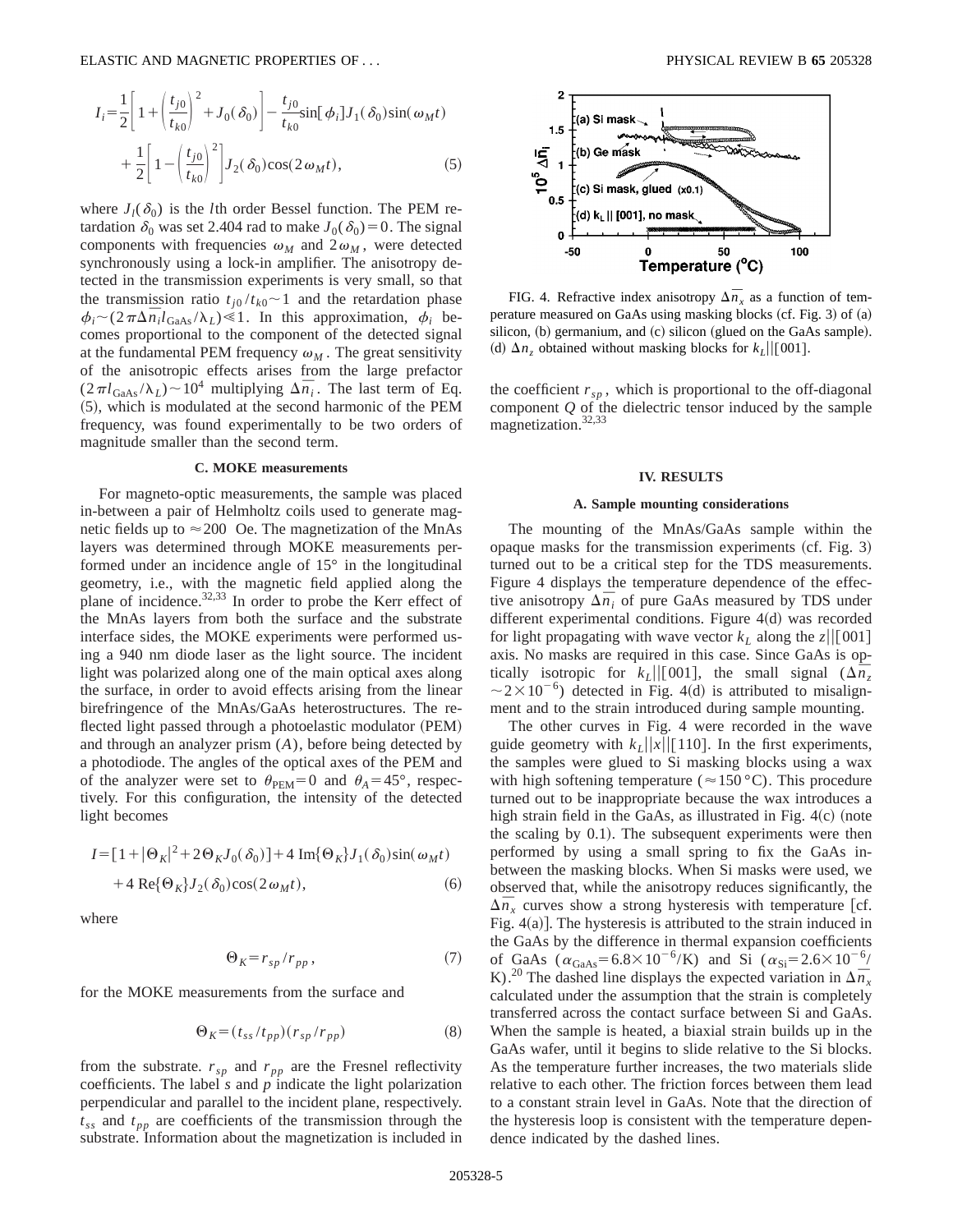$$
I_{i} = \frac{1}{2} \left[ 1 + \left( \frac{t_{j0}}{t_{k0}} \right)^{2} + J_{0}(\delta_{0}) \right] - \frac{t_{j0}}{t_{k0}} \sin[\phi_{i}] J_{1}(\delta_{0}) \sin(\omega_{M} t)
$$

$$
+ \frac{1}{2} \left[ 1 - \left( \frac{t_{j0}}{t_{k0}} \right)^{2} \right] J_{2}(\delta_{0}) \cos(2\omega_{M} t), \tag{5}
$$

where  $J_l(\delta_0)$  is the *l*th order Bessel function. The PEM retardation  $\delta_0$  was set 2.404 rad to make  $J_0(\delta_0)=0$ . The signal components with frequencies  $\omega_M$  and  $2\omega_M$ , were detected synchronously using a lock-in amplifier. The anisotropy detected in the transmission experiments is very small, so that the transmission ratio  $t_{j0} / t_{k0} \sim 1$  and the retardation phase  $\phi_i \sim (2\pi\Delta\bar{n}_i l_{\text{GaAs}}/\lambda_L) \ll 1$ . In this approximation,  $\phi_i$  becomes proportional to the component of the detected signal at the fundamental PEM frequency  $\omega_M$ . The great sensitivity of the anisotropic effects arises from the large prefactor  $(2\pi l_{\text{GaAs}}/\lambda_L) \sim 10^4$  multiplying  $\Delta \bar{n}_i$ . The last term of Eq. ~5!, which is modulated at the second harmonic of the PEM frequency, was found experimentally to be two orders of magnitude smaller than the second term.

#### **C. MOKE measurements**

For magneto-optic measurements, the sample was placed in-between a pair of Helmholtz coils used to generate magnetic fields up to  $\approx$  200 Oe. The magnetization of the MnAs layers was determined through MOKE measurements performed under an incidence angle of 15° in the longitudinal geometry, i.e., with the magnetic field applied along the plane of incidence. $32,33$  In order to probe the Kerr effect of the MnAs layers from both the surface and the substrate interface sides, the MOKE experiments were performed using a 940 nm diode laser as the light source. The incident light was polarized along one of the main optical axes along the surface, in order to avoid effects arising from the linear birefringence of the MnAs/GaAs heterostructures. The reflected light passed through a photoelastic modulator (PEM) and through an analyzer prism (*A*), before being detected by a photodiode. The angles of the optical axes of the PEM and of the analyzer were set to  $\theta_{\text{PEM}}=0$  and  $\theta_{A}=45^{\circ}$ , respectively. For this configuration, the intensity of the detected light becomes

$$
I = [1 + |\Theta_K|^2 + 2\Theta_K J_0(\delta_0)] + 4 \operatorname{Im} {\Theta_K} J_1(\delta_0) \sin(\omega_M t)
$$
  
+4 \operatorname{Re} {\Theta\_K} J\_2(\delta\_0) \cos(2\omega\_M t), \t(6)

where

$$
\Theta_K = r_{sp} / r_{pp},\tag{7}
$$

for the MOKE measurements from the surface and

$$
\Theta_K = (t_{ss}/t_{pp})(r_{sp}/r_{pp})\tag{8}
$$

from the substrate.  $r_{sp}$  and  $r_{pp}$  are the Fresnel reflectivity coefficients. The label *s* and *p* indicate the light polarization perpendicular and parallel to the incident plane, respectively.  $t_{ss}$  and  $t_{pp}$  are coefficients of the transmission through the substrate. Information about the magnetization is included in



FIG. 4. Refractive index anisotropy  $\Delta \overline{n}_x$  as a function of temperature measured on GaAs using masking blocks (cf. Fig. 3) of  $(a)$ silicon,  $(b)$  germanium, and  $(c)$  silicon (glued on the GaAs sample). (d)  $\Delta n_z$  obtained without masking blocks for  $k_L$ ||[001].

the coefficient  $r_{sp}$ , which is proportional to the off-diagonal component *Q* of the dielectric tensor induced by the sample magnetization.32,33

# **IV. RESULTS**

### **A. Sample mounting considerations**

The mounting of the MnAs/GaAs sample within the opaque masks for the transmission experiments  $(cf. Fig. 3)$ turned out to be a critical step for the TDS measurements. Figure 4 displays the temperature dependence of the effective anisotropy  $\Delta \bar{n}_i$  of pure GaAs measured by TDS under different experimental conditions. Figure  $4(d)$  was recorded for light propagating with wave vector  $k_L$  along the *z*||[001] axis. No masks are required in this case. Since GaAs is optically isotropic for  $k_L$ ||[001], the small signal  $(\Delta \bar{n}_z)$  $\sim$  2  $\times$  10<sup>-6</sup>) detected in Fig. 4(d) is attributed to misalignment and to the strain introduced during sample mounting.

The other curves in Fig. 4 were recorded in the wave guide geometry with  $k_L||x||[110]$ . In the first experiments, the samples were glued to Si masking blocks using a wax with high softening temperature ( $\approx 150 \degree C$ ). This procedure turned out to be inappropriate because the wax introduces a high strain field in the GaAs, as illustrated in Fig.  $4(c)$  (note the scaling by  $(0.1)$ . The subsequent experiments were then performed by using a small spring to fix the GaAs inbetween the masking blocks. When Si masks were used, we observed that, while the anisotropy reduces significantly, the  $\Delta \bar{n}_x$  curves show a strong hysteresis with temperature [cf. Fig.  $4(a)$ ]. The hysteresis is attributed to the strain induced in the GaAs by the difference in thermal expansion coefficients of GaAs  $(\alpha_{GaAs} = 6.8 \times 10^{-6}$ /K) and Si  $(\alpha_{Si} = 2.6 \times 10^{-6}$ / K).<sup>20</sup> The dashed line displays the expected variation in  $\Delta \bar{n}_x$ calculated under the assumption that the strain is completely transferred across the contact surface between Si and GaAs. When the sample is heated, a biaxial strain builds up in the GaAs wafer, until it begins to slide relative to the Si blocks. As the temperature further increases, the two materials slide relative to each other. The friction forces between them lead to a constant strain level in GaAs. Note that the direction of the hysteresis loop is consistent with the temperature dependence indicated by the dashed lines.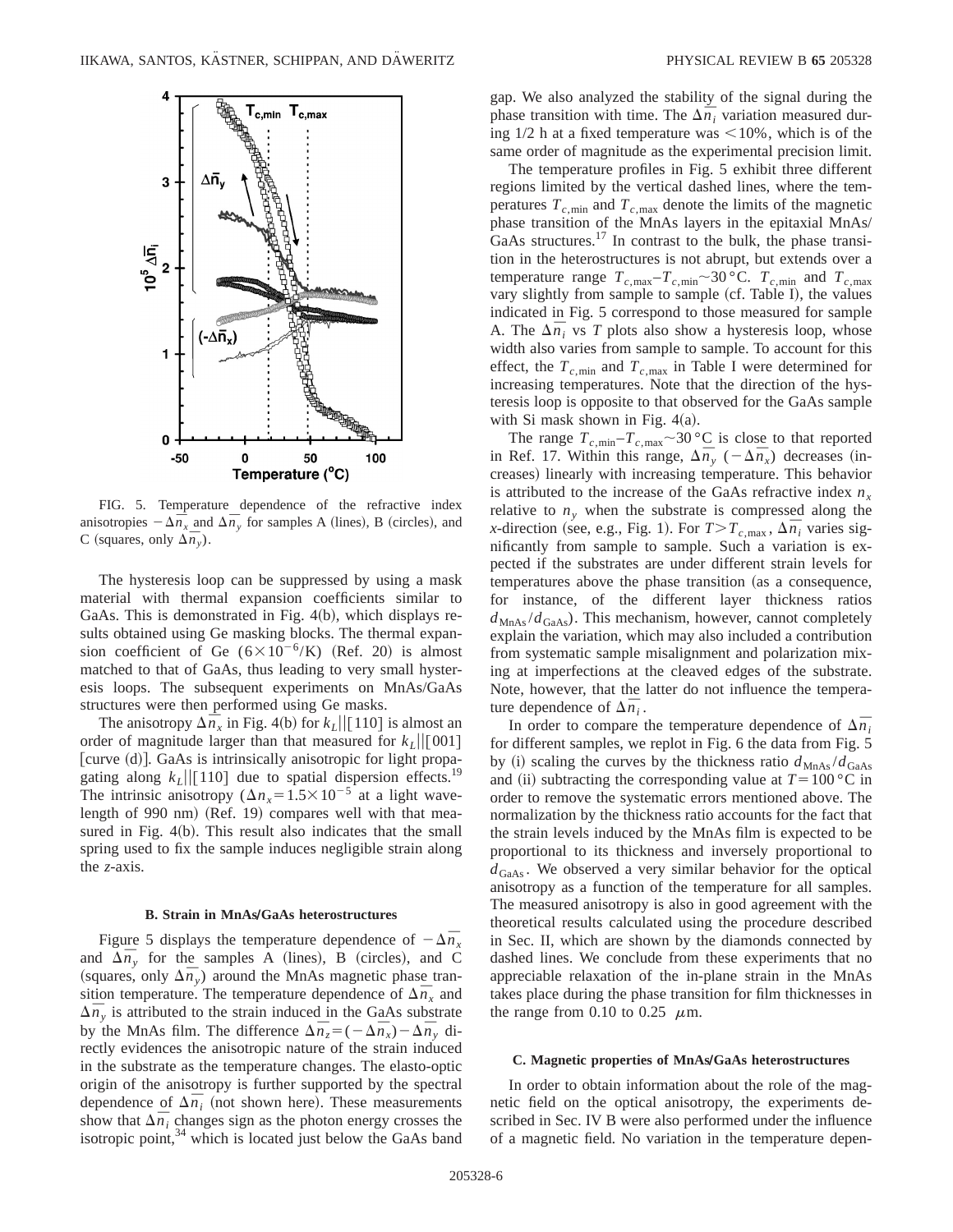

FIG. 5. Temperature dependence of the refractive index anisotropies  $-\Delta \bar{n}_x$  and  $\Delta \bar{n}_y$  for samples A (lines), B (circles), and C (squares, only  $\Delta \bar{n}_y$ ).

The hysteresis loop can be suppressed by using a mask material with thermal expansion coefficients similar to GaAs. This is demonstrated in Fig.  $4(b)$ , which displays results obtained using Ge masking blocks. The thermal expansion coefficient of Ge  $(6\times10^{-6}/K)$  (Ref. 20) is almost matched to that of GaAs, thus leading to very small hysteresis loops. The subsequent experiments on MnAs/GaAs structures were then performed using Ge masks.

The anisotropy  $\Delta \overline{n}_x$  in Fig. 4(b) for  $k_L$ <sup>[</sup>[110] is almost an order of magnitude larger than that measured for  $k_L$ <sup>[[001]</sup> [curve (d)]. GaAs is intrinsically anisotropic for light propagating along  $k_L$ <sup>[[110]</sup> due to spatial dispersion effects.<sup>19</sup> The intrinsic anisotropy  $(\Delta n_x = 1.5 \times 10^{-5})$  at a light wavelength of 990 nm) (Ref. 19) compares well with that measured in Fig.  $4(b)$ . This result also indicates that the small spring used to fix the sample induces negligible strain along the *z*-axis.

### **B. Strain in MnAsÕGaAs heterostructures**

Figure 5 displays the temperature dependence of  $-\Delta \bar{n}_x$ and  $\Delta \bar{n}_y$  for the samples A (lines), B (circles), and C (squares, only  $\Delta \bar{n}_y$ ) around the MnAs magnetic phase transition temperature. The temperature dependence of  $\Delta \bar{n}_x$  and  $\Delta \bar{n}_y$  is attributed to the strain induced in the GaAs substrate by the MnAs film. The difference  $\Delta \bar{n}_z = (-\Delta \bar{n}_x) - \Delta \bar{n}_y$  directly evidences the anisotropic nature of the strain induced in the substrate as the temperature changes. The elasto-optic origin of the anisotropy is further supported by the spectral dependence of  $\Delta \bar{n}_i$  (not shown here). These measurements show that  $\Delta \overline{n}_i$  changes sign as the photon energy crosses the isotropic point, $34$  which is located just below the GaAs band gap. We also analyzed the stability of the signal during the phase transition with time. The  $\Delta \overline{n}_i$  variation measured during  $1/2$  h at a fixed temperature was  $\leq 10\%$ , which is of the same order of magnitude as the experimental precision limit.

The temperature profiles in Fig. 5 exhibit three different regions limited by the vertical dashed lines, where the temperatures  $T_{c,\text{min}}$  and  $T_{c,\text{max}}$  denote the limits of the magnetic phase transition of the MnAs layers in the epitaxial MnAs/ GaAs structures.<sup>17</sup> In contrast to the bulk, the phase transition in the heterostructures is not abrupt, but extends over a temperature range  $T_{c,\text{max}}-T_{c,\text{min}} \sim 30 \degree \text{C}$ .  $T_{c,\text{min}}$  and  $T_{c,\text{max}}$ vary slightly from sample to sample (cf. Table I), the values indicated in Fig. 5 correspond to those measured for sample A. The  $\Delta \bar{n}_i$  vs *T* plots also show a hysteresis loop, whose width also varies from sample to sample. To account for this effect, the  $T_{c,\text{min}}$  and  $T_{c,\text{max}}$  in Table I were determined for increasing temperatures. Note that the direction of the hysteresis loop is opposite to that observed for the GaAs sample with Si mask shown in Fig.  $4(a)$ .

The range  $T_{c,\text{min}}-T_{c,\text{max}} \sim 30 \degree \text{C}$  is close to that reported in Ref. 17. Within this range,  $\Delta \bar{n}_y$  ( $-\Delta \bar{n}_x$ ) decreases (increases) linearly with increasing temperature. This behavior is attributed to the increase of the GaAs refractive index  $n<sub>x</sub>$ relative to  $n<sub>y</sub>$  when the substrate is compressed along the *x*-direction (see, e.g., Fig. 1). For  $T > T_{c,max}$ ,  $\Delta \overline{n}_i$  varies significantly from sample to sample. Such a variation is expected if the substrates are under different strain levels for temperatures above the phase transition (as a consequence, for instance, of the different layer thickness ratios  $d_{\text{MnAs}}/d_{\text{GaAs}}$ ). This mechanism, however, cannot completely explain the variation, which may also included a contribution from systematic sample misalignment and polarization mixing at imperfections at the cleaved edges of the substrate. Note, however, that the latter do not influence the temperature dependence of  $\Delta \overline{n}_i$ .

In order to compare the temperature dependence of  $\Delta \bar{n}_i$ for different samples, we replot in Fig. 6 the data from Fig. 5 by (i) scaling the curves by the thickness ratio  $d_{MnAs}/d_{GaAs}$ and (ii) subtracting the corresponding value at  $T = 100$  °C in order to remove the systematic errors mentioned above. The normalization by the thickness ratio accounts for the fact that the strain levels induced by the MnAs film is expected to be proportional to its thickness and inversely proportional to  $d_{\text{GaAs}}$ . We observed a very similar behavior for the optical anisotropy as a function of the temperature for all samples. The measured anisotropy is also in good agreement with the theoretical results calculated using the procedure described in Sec. II, which are shown by the diamonds connected by dashed lines. We conclude from these experiments that no appreciable relaxation of the in-plane strain in the MnAs takes place during the phase transition for film thicknesses in the range from 0.10 to 0.25  $\mu$ m.

### **C. Magnetic properties of MnAsÕGaAs heterostructures**

In order to obtain information about the role of the magnetic field on the optical anisotropy, the experiments described in Sec. IV B were also performed under the influence of a magnetic field. No variation in the temperature depen-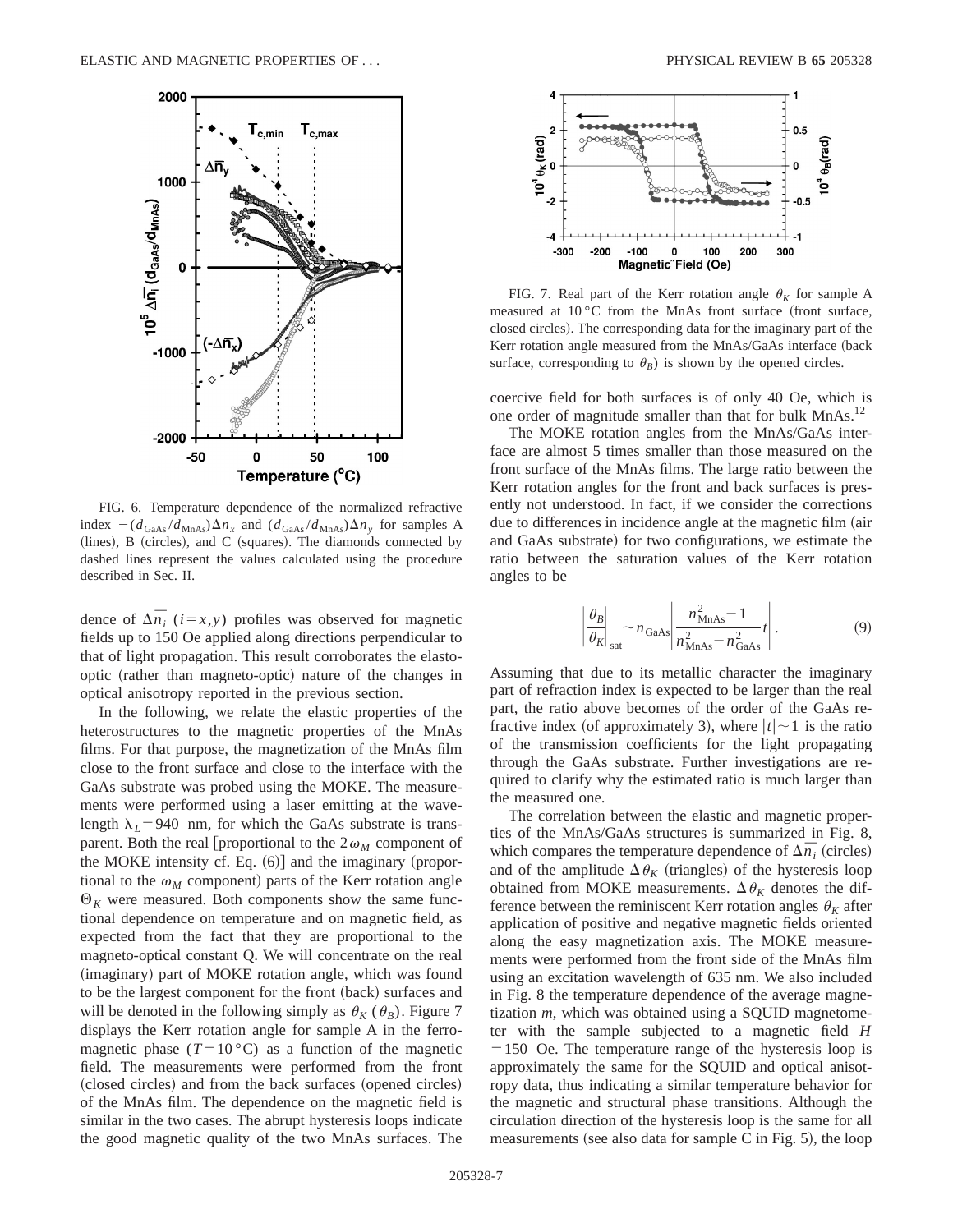

FIG. 6. Temperature dependence of the normalized refractive index  $-(d_{\text{GaAs}}/d_{\text{MnAs}})\Delta \bar{n}_x$  and  $(d_{\text{GaAs}}/d_{\text{MnAs}})\Delta \bar{n}_y$  for samples A (lines), B (circles), and C (squares). The diamonds connected by dashed lines represent the values calculated using the procedure described in Sec. II.

dence of  $\Delta \overline{n}_i$  (*i*=*x*,*y*) profiles was observed for magnetic fields up to 150 Oe applied along directions perpendicular to that of light propagation. This result corroborates the elastooptic (rather than magneto-optic) nature of the changes in optical anisotropy reported in the previous section.

In the following, we relate the elastic properties of the heterostructures to the magnetic properties of the MnAs films. For that purpose, the magnetization of the MnAs film close to the front surface and close to the interface with the GaAs substrate was probed using the MOKE. The measurements were performed using a laser emitting at the wavelength  $\lambda_L$ =940 nm, for which the GaAs substrate is transparent. Both the real [proportional to the  $2\omega_M$  component of the MOKE intensity cf. Eq.  $(6)$ ] and the imaginary (proportional to the  $\omega_M$  component) parts of the Kerr rotation angle  $\Theta_K$  were measured. Both components show the same functional dependence on temperature and on magnetic field, as expected from the fact that they are proportional to the magneto-optical constant Q. We will concentrate on the real (imaginary) part of MOKE rotation angle, which was found to be the largest component for the front (back) surfaces and will be denoted in the following simply as  $\theta_K$  ( $\theta_B$ ). Figure 7 displays the Kerr rotation angle for sample A in the ferromagnetic phase  $(T=10 \degree C)$  as a function of the magnetic field. The measurements were performed from the front (closed circles) and from the back surfaces (opened circles) of the MnAs film. The dependence on the magnetic field is similar in the two cases. The abrupt hysteresis loops indicate the good magnetic quality of the two MnAs surfaces. The



FIG. 7. Real part of the Kerr rotation angle  $\theta_K$  for sample A measured at  $10^{\circ}$ C from the MnAs front surface (front surface, closed circles). The corresponding data for the imaginary part of the Kerr rotation angle measured from the MnAs/GaAs interface (back surface, corresponding to  $\theta_B$ ) is shown by the opened circles.

coercive field for both surfaces is of only 40 Oe, which is one order of magnitude smaller than that for bulk MnAs.<sup>12</sup>

The MOKE rotation angles from the MnAs/GaAs interface are almost 5 times smaller than those measured on the front surface of the MnAs films. The large ratio between the Kerr rotation angles for the front and back surfaces is presently not understood. In fact, if we consider the corrections due to differences in incidence angle at the magnetic film (air and GaAs substrate) for two configurations, we estimate the ratio between the saturation values of the Kerr rotation angles to be

$$
\left| \frac{\theta_B}{\theta_K} \right|_{\text{sat}} \sim n_{\text{GaAs}} \left| \frac{n_{\text{MnAs}}^2 - 1}{n_{\text{MnAs}}^2 - n_{\text{GaAs}}^2} t \right|.
$$
 (9)

Assuming that due to its metallic character the imaginary part of refraction index is expected to be larger than the real part, the ratio above becomes of the order of the GaAs refractive index (of approximately 3), where  $|t| \sim 1$  is the ratio of the transmission coefficients for the light propagating through the GaAs substrate. Further investigations are required to clarify why the estimated ratio is much larger than the measured one.

The correlation between the elastic and magnetic properties of the MnAs/GaAs structures is summarized in Fig. 8, which compares the temperature dependence of  $\Delta \bar{n}_i$  (circles) and of the amplitude  $\Delta \theta_K$  (triangles) of the hysteresis loop obtained from MOKE measurements.  $\Delta \theta_K$  denotes the difference between the reminiscent Kerr rotation angles  $\theta_K$  after application of positive and negative magnetic fields oriented along the easy magnetization axis. The MOKE measurements were performed from the front side of the MnAs film using an excitation wavelength of 635 nm. We also included in Fig. 8 the temperature dependence of the average magnetization *m*, which was obtained using a SQUID magnetometer with the sample subjected to a magnetic field *H*  $=150$  Oe. The temperature range of the hysteresis loop is approximately the same for the SQUID and optical anisotropy data, thus indicating a similar temperature behavior for the magnetic and structural phase transitions. Although the circulation direction of the hysteresis loop is the same for all measurements (see also data for sample C in Fig.  $5$ ), the loop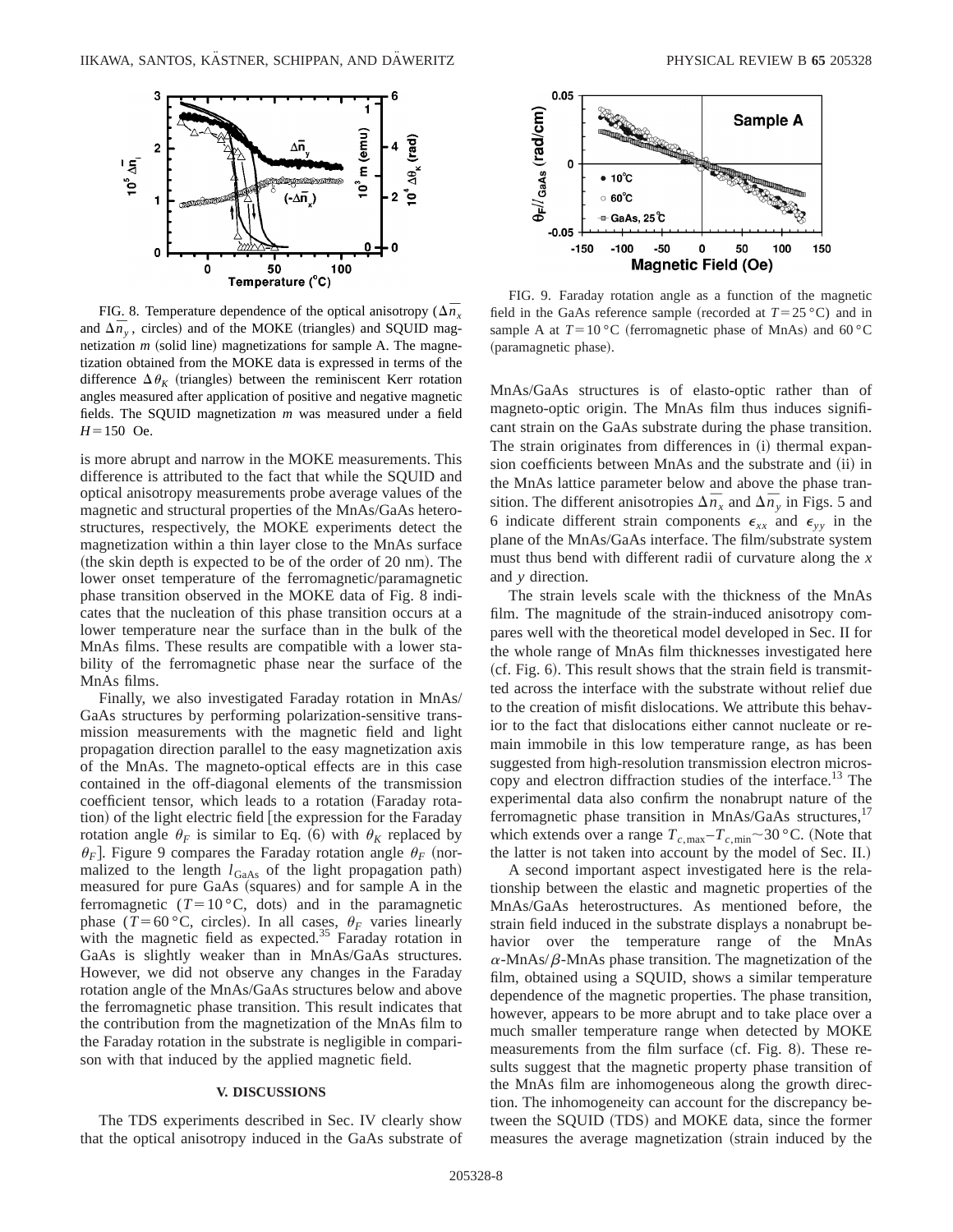

FIG. 8. Temperature dependence of the optical anisotropy ( $\Delta \bar{n}_x$ ) and  $\Delta \bar{n}_y$ , circles) and of the MOKE (triangles) and SQUID magnetization  $m$  (solid line) magnetizations for sample A. The magnetization obtained from the MOKE data is expressed in terms of the difference  $\Delta \theta_K$  (triangles) between the reminiscent Kerr rotation angles measured after application of positive and negative magnetic fields. The SQUID magnetization *m* was measured under a field  $H = 150$  Oe.

is more abrupt and narrow in the MOKE measurements. This difference is attributed to the fact that while the SQUID and optical anisotropy measurements probe average values of the magnetic and structural properties of the MnAs/GaAs heterostructures, respectively, the MOKE experiments detect the magnetization within a thin layer close to the MnAs surface (the skin depth is expected to be of the order of  $20 \text{ nm}$ ). The lower onset temperature of the ferromagnetic/paramagnetic phase transition observed in the MOKE data of Fig. 8 indicates that the nucleation of this phase transition occurs at a lower temperature near the surface than in the bulk of the MnAs films. These results are compatible with a lower stability of the ferromagnetic phase near the surface of the MnAs films.

Finally, we also investigated Faraday rotation in MnAs/ GaAs structures by performing polarization-sensitive transmission measurements with the magnetic field and light propagation direction parallel to the easy magnetization axis of the MnAs. The magneto-optical effects are in this case contained in the off-diagonal elements of the transmission coefficient tensor, which leads to a rotation (Faraday rotation) of the light electric field [the expression for the Faraday rotation angle  $\theta_F$  is similar to Eq. (6) with  $\theta_K$  replaced by  $\theta_F$ . Figure 9 compares the Faraday rotation angle  $\theta_F$  (normalized to the length  $l_{\text{GaAs}}$  of the light propagation path) measured for pure GaAs (squares) and for sample A in the ferromagnetic  $(T=10 \degree C, \text{ dots})$  and in the paramagnetic phase ( $T=60$  °C, circles). In all cases,  $\theta_F$  varies linearly with the magnetic field as expected.<sup>35</sup> Faraday rotation in GaAs is slightly weaker than in MnAs/GaAs structures. However, we did not observe any changes in the Faraday rotation angle of the MnAs/GaAs structures below and above the ferromagnetic phase transition. This result indicates that the contribution from the magnetization of the MnAs film to the Faraday rotation in the substrate is negligible in comparison with that induced by the applied magnetic field.

# **V. DISCUSSIONS**

The TDS experiments described in Sec. IV clearly show that the optical anisotropy induced in the GaAs substrate of



FIG. 9. Faraday rotation angle as a function of the magnetic field in the GaAs reference sample (recorded at  $T=25\degree C$ ) and in sample A at  $T=10 \degree C$  (ferromagnetic phase of MnAs) and 60 °C (paramagnetic phase).

MnAs/GaAs structures is of elasto-optic rather than of magneto-optic origin. The MnAs film thus induces significant strain on the GaAs substrate during the phase transition. The strain originates from differences in (i) thermal expansion coefficients between MnAs and the substrate and (ii) in the MnAs lattice parameter below and above the phase transition. The different anisotropies  $\Delta \bar{n}_x$  and  $\Delta \bar{n}_y$  in Figs. 5 and 6 indicate different strain components  $\epsilon_{xx}$  and  $\epsilon_{yy}$  in the plane of the MnAs/GaAs interface. The film/substrate system must thus bend with different radii of curvature along the *x* and *y* direction.

The strain levels scale with the thickness of the MnAs film. The magnitude of the strain-induced anisotropy compares well with the theoretical model developed in Sec. II for the whole range of MnAs film thicknesses investigated here  $(cf. Fig. 6)$ . This result shows that the strain field is transmitted across the interface with the substrate without relief due to the creation of misfit dislocations. We attribute this behavior to the fact that dislocations either cannot nucleate or remain immobile in this low temperature range, as has been suggested from high-resolution transmission electron microscopy and electron diffraction studies of the interface.<sup>13</sup> The experimental data also confirm the nonabrupt nature of the ferromagnetic phase transition in MnAs/GaAs structures, $^{17}$ which extends over a range  $T_{c,\text{max}}-T_{c,\text{min}}\sim30$  °C. (Note that the latter is not taken into account by the model of Sec. II.)

A second important aspect investigated here is the relationship between the elastic and magnetic properties of the MnAs/GaAs heterostructures. As mentioned before, the strain field induced in the substrate displays a nonabrupt behavior over the temperature range of the MnAs  $\alpha$ -MnAs/ $\beta$ -MnAs phase transition. The magnetization of the film, obtained using a SQUID, shows a similar temperature dependence of the magnetic properties. The phase transition, however, appears to be more abrupt and to take place over a much smaller temperature range when detected by MOKE measurements from the film surface (cf. Fig. 8). These results suggest that the magnetic property phase transition of the MnAs film are inhomogeneous along the growth direction. The inhomogeneity can account for the discrepancy between the SQUID (TDS) and MOKE data, since the former measures the average magnetization (strain induced by the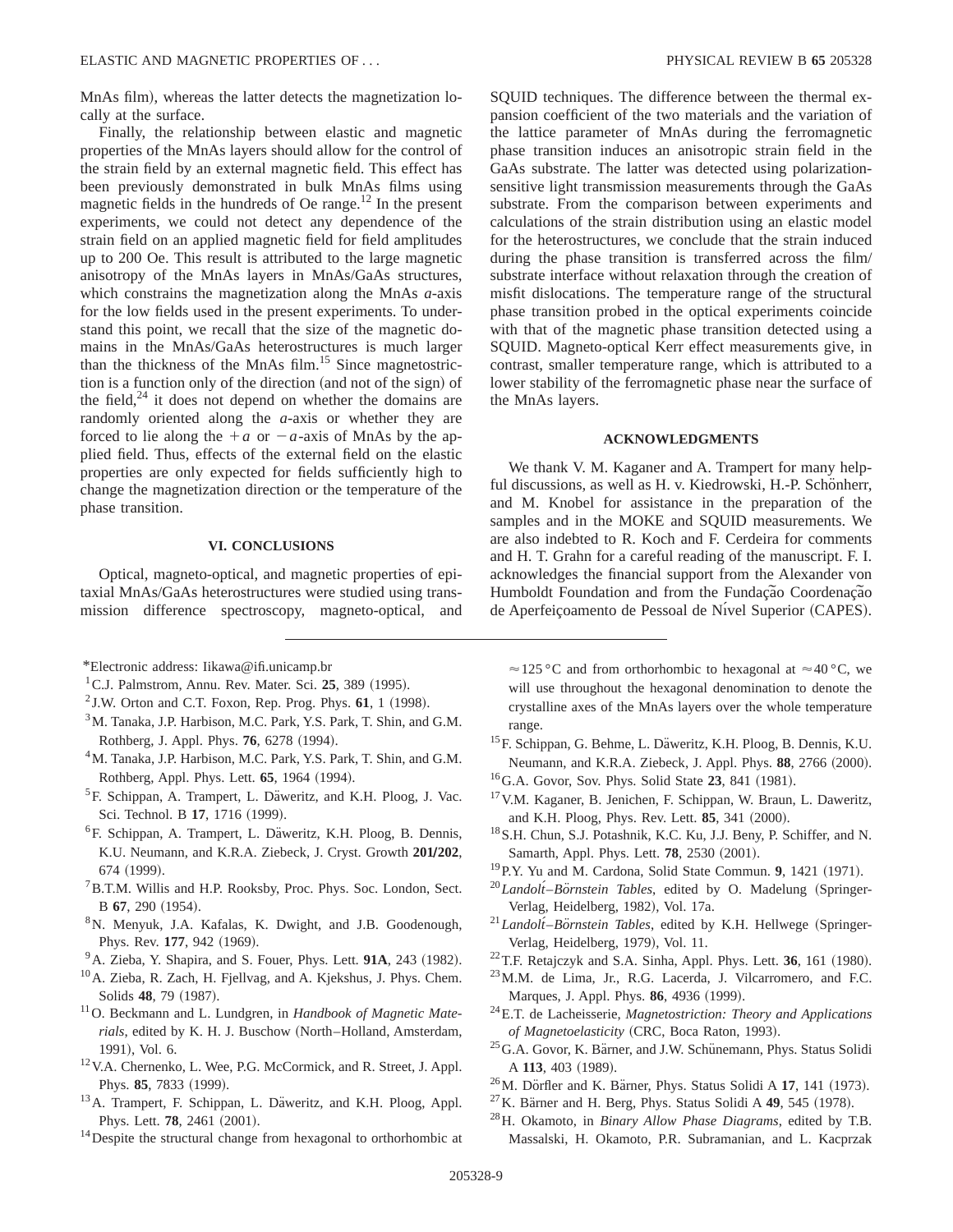MnAs film), whereas the latter detects the magnetization locally at the surface.

Finally, the relationship between elastic and magnetic properties of the MnAs layers should allow for the control of the strain field by an external magnetic field. This effect has been previously demonstrated in bulk MnAs films using magnetic fields in the hundreds of Oe range.<sup>12</sup> In the present experiments, we could not detect any dependence of the strain field on an applied magnetic field for field amplitudes up to 200 Oe. This result is attributed to the large magnetic anisotropy of the MnAs layers in MnAs/GaAs structures, which constrains the magnetization along the MnAs *a*-axis for the low fields used in the present experiments. To understand this point, we recall that the size of the magnetic domains in the MnAs/GaAs heterostructures is much larger than the thickness of the MnAs film.<sup>15</sup> Since magnetostriction is a function only of the direction (and not of the sign) of the field, $24$  it does not depend on whether the domains are randomly oriented along the *a*-axis or whether they are forced to lie along the  $+a$  or  $-a$ -axis of MnAs by the applied field. Thus, effects of the external field on the elastic properties are only expected for fields sufficiently high to change the magnetization direction or the temperature of the phase transition.

# **VI. CONCLUSIONS**

Optical, magneto-optical, and magnetic properties of epitaxial MnAs/GaAs heterostructures were studied using transmission difference spectroscopy, magneto-optical, and

- <sup>1</sup>C.J. Palmstrom, Annu. Rev. Mater. Sci. 25, 389 (1995).
- $2$  J.W. Orton and C.T. Foxon, Rep. Prog. Phys.  $61$ , 1 (1998).
- <sup>3</sup>M. Tanaka, J.P. Harbison, M.C. Park, Y.S. Park, T. Shin, and G.M. Rothberg, J. Appl. Phys. **76**, 6278 (1994).
- <sup>4</sup>M. Tanaka, J.P. Harbison, M.C. Park, Y.S. Park, T. Shin, and G.M. Rothberg, Appl. Phys. Lett. **65**, 1964 (1994).
- <sup>5</sup>F. Schippan, A. Trampert, L. Däweritz, and K.H. Ploog, J. Vac. Sci. Technol. B 17, 1716 (1999).
- <sup>6</sup>F. Schippan, A. Trampert, L. Däweritz, K.H. Ploog, B. Dennis, K.U. Neumann, and K.R.A. Ziebeck, J. Cryst. Growth  $201/202$ , 674 (1999).
- 7B.T.M. Willis and H.P. Rooksby, Proc. Phys. Soc. London, Sect. B 67, 290 (1954).
- 8N. Menyuk, J.A. Kafalas, K. Dwight, and J.B. Goodenough, Phys. Rev. 177, 942 (1969).
- <sup>9</sup> A. Zieba, Y. Shapira, and S. Fouer, Phys. Lett. **91A**, 243 (1982).
- <sup>10</sup>A. Zieba, R. Zach, H. Fjellvag, and A. Kjekshus, J. Phys. Chem. Solids **48**, 79 (1987).
- <sup>11</sup>O. Beckmann and L. Lundgren, in *Handbook of Magnetic Mate*rials, edited by K. H. J. Buschow (North–Holland, Amsterdam, 1991), Vol. 6.
- 12V.A. Chernenko, L. Wee, P.G. McCormick, and R. Street, J. Appl. Phys. 85, 7833 (1999).
- <sup>13</sup>A. Trampert, F. Schippan, L. Däweritz, and K.H. Ploog, Appl. Phys. Lett. **78**, 2461 (2001).
- <sup>14</sup>Despite the structural change from hexagonal to orthorhombic at

SQUID techniques. The difference between the thermal expansion coefficient of the two materials and the variation of the lattice parameter of MnAs during the ferromagnetic phase transition induces an anisotropic strain field in the GaAs substrate. The latter was detected using polarizationsensitive light transmission measurements through the GaAs substrate. From the comparison between experiments and calculations of the strain distribution using an elastic model for the heterostructures, we conclude that the strain induced during the phase transition is transferred across the film/ substrate interface without relaxation through the creation of misfit dislocations. The temperature range of the structural phase transition probed in the optical experiments coincide with that of the magnetic phase transition detected using a SQUID. Magneto-optical Kerr effect measurements give, in contrast, smaller temperature range, which is attributed to a lower stability of the ferromagnetic phase near the surface of the MnAs layers.

# **ACKNOWLEDGMENTS**

We thank V. M. Kaganer and A. Trampert for many helpful discussions, as well as H. v. Kiedrowski, H.-P. Schönherr, and M. Knobel for assistance in the preparation of the samples and in the MOKE and SQUID measurements. We are also indebted to R. Koch and F. Cerdeira for comments and H. T. Grahn for a careful reading of the manuscript. F. I. acknowledges the financial support from the Alexander von Humboldt Foundation and from the Fundação Coordenação de Aperfeicoamento de Pessoal de Nível Superior (CAPES).

 $\approx$  125 °C and from orthorhombic to hexagonal at  $\approx$  40 °C, we will use throughout the hexagonal denomination to denote the crystalline axes of the MnAs layers over the whole temperature range.

- <sup>15</sup>F. Schippan, G. Behme, L. Däweritz, K.H. Ploog, B. Dennis, K.U. Neumann, and K.R.A. Ziebeck, J. Appl. Phys. 88, 2766 (2000).
- $^{16}$ G.A. Govor, Sov. Phys. Solid State 23, 841 (1981).
- 17V.M. Kaganer, B. Jenichen, F. Schippan, W. Braun, L. Daweritz, and K.H. Ploog, Phys. Rev. Lett. **85**, 341 (2000).
- 18S.H. Chun, S.J. Potashnik, K.C. Ku, J.J. Beny, P. Schiffer, and N. Samarth, Appl. Phys. Lett. **78**, 2530 (2001).
- <sup>19</sup>P.Y. Yu and M. Cardona, Solid State Commun. 9, 1421 (1971).
- <sup>20</sup>Landolt<sup>´</sup>–*Börnstein Tables*, edited by O. Madelung (Springer-Verlag, Heidelberg, 1982), Vol. 17a.
- <sup>21</sup> Landolt-Börnstein Tables, edited by K.H. Hellwege (Springer-Verlag, Heidelberg, 1979), Vol. 11.
- $22$ T.F. Retajczyk and S.A. Sinha, Appl. Phys. Lett. **36**, 161 (1980).
- <sup>23</sup> M.M. de Lima, Jr., R.G. Lacerda, J. Vilcarromero, and F.C. Marques, J. Appl. Phys. **86**, 4936 (1999).
- 24E.T. de Lacheisserie, *Magnetostriction: Theory and Applications of Magnetoelasticity* (CRC, Boca Raton, 1993).
- <sup>25</sup>G.A. Govor, K. Bärner, and J.W. Schünemann, Phys. Status Solidi A 113, 403 (1989).
- $^{26}$ M. Dörfler and K. Bärner, Phys. Status Solidi A  $17$ , 141 (1973).
- $^{27}$ K. Bärner and H. Berg, Phys. Status Solidi A 49, 545 (1978).
- 28H. Okamoto, in *Binary Allow Phase Diagrams*, edited by T.B. Massalski, H. Okamoto, P.R. Subramanian, and L. Kacprzak

<sup>\*</sup>Electronic address: Iikawa@ifi.unicamp.br